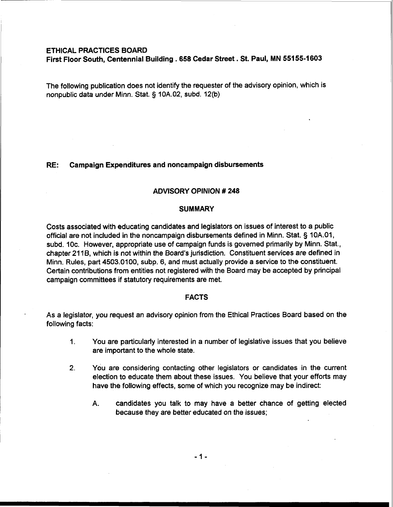# **ETHICAL PRACTICES BOARD**

**First Floor South, Centennial Building** . **658 Cedar Street. St. Paul, MN 55155-1603** 

The following publication does not identify the requester of the advisory opinion, which is nonpublic data under Minn. Stat. § 10A.02, subd. 12(b)

# **RE: Campaign Expenditures and noncampaign disbursements**

### **ADVISORY OPINION** # **248**

### **SUMMARY**

Costs associated with educating candidates and legislators on issues of interest to a public official are not included in the noncampaign disbursements defined in Minn. Stat. § 10A.O1, subd. 10c. However, appropriate use of campaign funds is governed primarily by Minn. Stat., chapter 211B, which is not within the Board's jurisdiction. Constituent services are defined in Minn. Rules, part 4503.0100, subp. 6, and must actually provide a service to the constituent. Certain contributions from entities not registered with the Board may be accepted by principal campaign committees if statutory requirements are met.

### **FACTS**

As a legislator, you request an advisory opinion from the Ethical Practices Board based on the following facts:

- 1. You are particularly interested in a number of legislative issues that you believe are important to the whole state.
- **2.** You are considering contacting other legislators or candidates in the current election to educate them about these issues. You believe that your efforts may have the following effects, some of which you recognize may be indirect:
	- A. candidates you talk to may have a better chance of getting elected because they are better educated on the issues;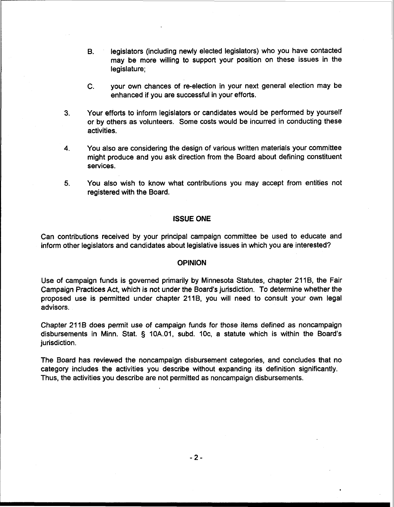- **B.** legislators (including newly elected legislators) who you have contacted may be more willing to support your position on these issues in the legislature;
- C. your own chances of re-election in your next general election may be enhanced if you are successful in your efforts.
- **3.** Your efforts to inform legislators or candidates would be performed by yourself or by others as volunteers. Some costs would be incurred in conducting these activities.
- **4.** You also are considering the design of various written materials your committee might produce and you ask direction from the Board about defining constituent services.
- **5.** You also wish to know what contributions you may accept from entities not registered with the Board.

### ISSUE ONE

Can contributions received by your principal campaign committee be used to educate and inform other legislators and candidates about legislative issues in which you are interested?

# **OPINION**

Use of campaign funds is governed primarily by Minnesota Statutes, chapter 211B, the Fair Campaign Practices Act, which is not under the Board's jurisdiction. To determine whether the proposed use is permitted under chapter 2118, you will need to consult your own legal advisors.

Chapter 211B does permit use of campaign funds for those items defined as noncampaign disbursements in Minn. Stat. § 10A.01, subd. IOc, a statute which is within the Board's jurisdiction.

The Board has reviewed the noncampaign disbursement categories, and concludes that no category includes the activities you describe without expanding its definition significantly. Thus, the activities you describe are not permitted as noncampaign disbursements.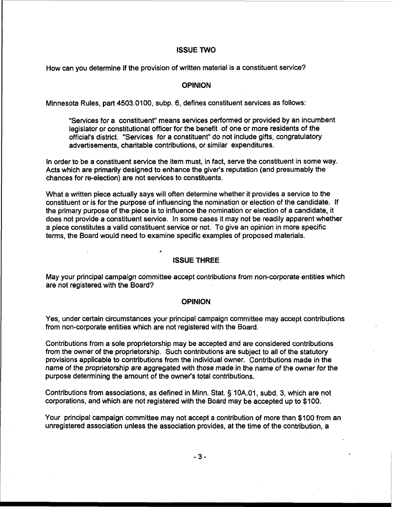# **ISSUE TWO**

How can you determine if the provision of written material is a constituent service?

## **OPINION**

Minnesota Rules, part 4503.0100, subp. 6, defines constituent services as follows:

"Services for a constituent" means services performed or provided by an incumbent legislator or constitutional officer for the benefit of one or more residents of the official's district. "Services for a constituent" do not include gifts, congratulatory advertisements, charitable contributions, or similar expenditures.

In order to be a constituent service the item must, in fact, serve the constituent in some way. Acts which are primarily designed to enhance the giver's reputation (and presumably the chances for re-election) are not services to constituents.

What a written piece actually says will often determine whether it provides a service to the constituent or is for the purpose of influencing the nomination or election of the candidate. If the primary purpose of the piece is to influence the nomination or election of a candidate, it does not provide a constituent service. In some cases it may not be readily apparent whether a piece constitutes a valid constituent service or not. To give an opinion in more specific terms, the Board would need to examine specific examples of proposed materials.

# **ISSUE THREE**

May your principal campaign committee accept contributions from non-corporate entities which are not registered. with the Board?

#### **OPINION**

Yes, under certain circumstances your principal campaign committee may accept contributions from non-corporate entities which are not registered with the Board.

Contributions from a sole proprietorship may be accepted and are considered contributions from the owner of the proprietorship. Such contributions are subject to all of the statutory provisions applicable to contributions from the individual owner. Contributions made in the name of the proprietorship are aggregated with those made in the name of the owner for the purpose determining the amount of the owner's total contributions.

Contributions from associations, as defined in Minn. Stat. **3** 10A.01, subd. 3, which are not corporations, and which are not registered with the Board may be accepted up to \$100.

Your principal campaign'committee may not accept a contribution of more than \$100 from an unregistered association unless the association provides, at the time of the contribution, a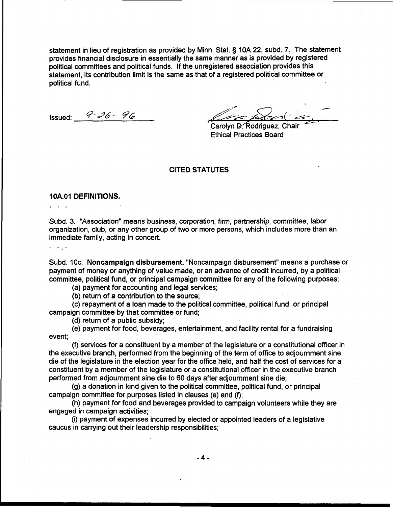statement in lieu of registration as provided by Minn. Stat. § 10A.22, subd. 7. The statement provides financial disclosure in essentially the same manner as is provided by registered political committees and political funds. If the unregistered association provides this statement, its contribution limit is the same as that of a registered political committee or political fund.

Issued: **9-26** - *96* 

/G/&- **&dd( 62,** 

Carolyn D. Rodriguez, Cha Ethical Practices Board

## CITED STATUTES

#### 1 OA.O1 DEFINITIONS.

Subd. 3. "Association" means business, corporation, firm, partnership, committee, labor organization, club, or any other group of two or more persons, which includes more than an immediate family, acting in concert.

 $\ddotsc$ 

...

Subd. 10c. Noncampaign disbursement. "Noncampaign disbursement" means a purchase or payment of money or anything of value made, or an advance of credit incurred, by a political committee, political fund, or principal campaign committee for any of the following purposes:

(a) payment for accounting and legal services;

(b) return of a contribution to the source;

(c) repayment of a loan made to the political committee, political fund, or principal campaign committee by that committee or fund;

(d) return of a public subsidy;

(e) payment for food, beverages, entertainment, and facility rental for a fundraising event;

(f) services for a constituent by a member of the legislature or a constitutional officer in the executive branch, performed from the beginning of the term of office to adjournment sine die of the legislature in the election year for the office held, and half the cost of services for a constituent by a member of the legislature or a constitutional officer in the executive branch performed from adjournment sine die to 60 days after adjournment sine die;

(g) a donation in kind given to the political committee, political fund, or principal campaign committee for purposes listed in clauses (e) and (f);

(h) payment for food and beverages provided to campaign volunteers while they are engaged in campaign activities;

(i) payment of expenses incurred by elected or appointed leaders of a legislative caucus in carrying out their leadership responsibilities;